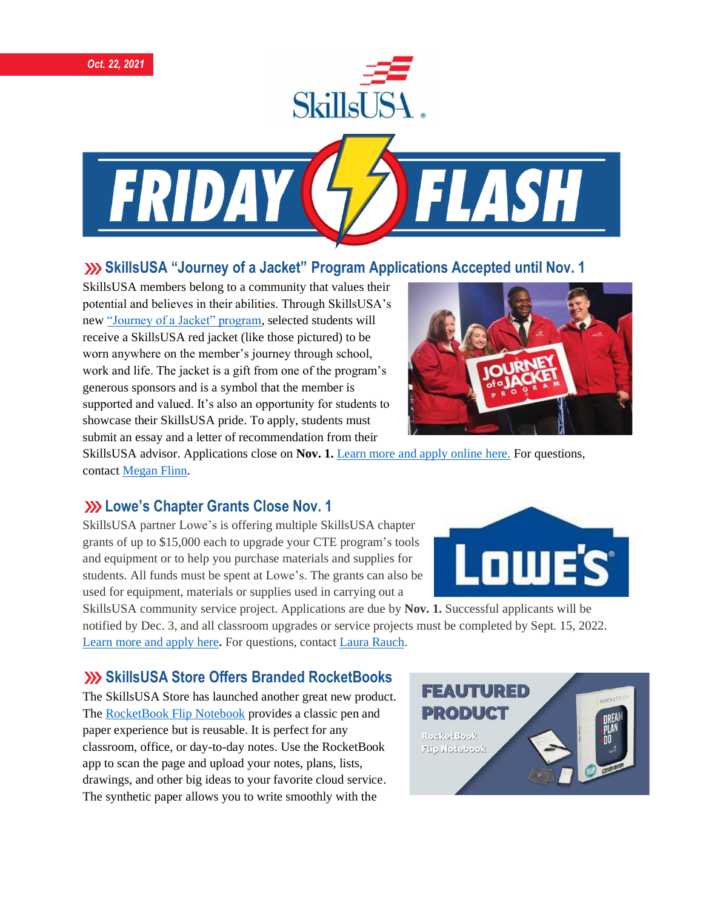

FRIDA

# **SkillsUSA "Journey of a Jacket" Program Applications Accepted until Nov. 1**

SkillsUSA members belong to a community that values their potential and believes in their abilities. Through SkillsUSA's new ["Journey of a Jacket" program,](https://www.skillsusa.org/programs/journey-of-a-jacket/) selected students will receive a SkillsUSA red jacket (like those pictured) to be worn anywhere on the member's journey through school, work and life. The jacket is a gift from one of the program's generous sponsors and is a symbol that the member is supported and valued. It's also an opportunity for students to showcase their SkillsUSA pride. To apply, students must submit an essay and a letter of recommendation from their



SkillsUSA advisor. Applications close on **Nov. 1.** Learn more [and apply online here.](https://www.skillsusa.org/programs/journey-of-a-jacket/) For questions, contac[t Megan Flinn.](mailto:mflinn@skillsusa.org)

## **Lowe's Chapter Grants Close Nov. 1**

SkillsUSA partner Lowe's is offering multiple SkillsUSA chapter grants of up to \$15,000 each to upgrade your CTE program's tools and equipment or to help you purchase materials and supplies for students. All funds must be spent at Lowe's. The grants can also be used for equipment, materials or supplies used in carrying out a

SkillsUSA community service project. Applications are due by **Nov. 1.** Successful applicants will be notified by Dec. 3, and all classroom upgrades or service projects must be completed by Sept. 15, 2022. [Learn](https://skillsusa.wufoo.com/forms/qkabeax04tlmfy/) more and apply here**.** For questions, contact Laura [Rauch.](mailto:lrauch@skillsusa.org)

#### **SkillsUSA Store Offers Branded RocketBooks**

The SkillsUSA Store has launched another great new product. The [RocketBook Flip Notebook](https://skillsusastore.mybrightsites.com/products/716995) provides a classic pen and paper experience but is reusable. It is perfect for any classroom, office, or day-to-day notes. Use the RocketBook app to scan the page and upload your notes, plans, lists, drawings, and other big ideas to your favorite cloud service. The synthetic paper allows you to write smoothly with the



**LOWE**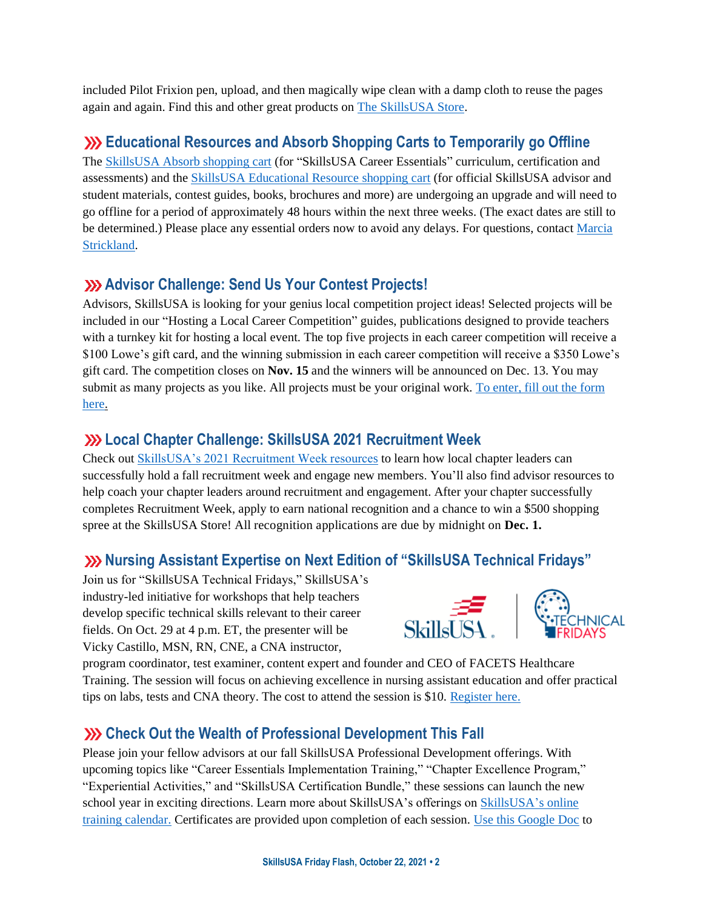included Pilot Frixion pen, upload, and then magically wipe clean with a damp cloth to reuse the pages again and again. Find this and other great products on [The SkillsUSA Store.](https://skillsusastore.mybrightsites.com/products?s%5Bf%5D%5Bc%5D%5B%5D=%2FAdvisor+%26+Chapter+Materials)

### **Educational Resources and Absorb Shopping Carts to Temporarily go Offline**

The [SkillsUSA Absorb shopping cart](https://absorb.skillsusa.org/#/public-dashboard) (for "SkillsUSA Career Essentials" curriculum, certification and assessments) and the [SkillsUSA Educational Resource shopping cart](https://www.skillsusastore.net/) (for official SkillsUSA advisor and student materials, contest guides, books, brochures and more) are undergoing an upgrade and will need to go offline for a period of approximately 48 hours within the next three weeks. (The exact dates are still to be determined.) Please place any essential orders now to avoid any delays. For questions, contact [Marcia](mailto:mstrickland@skillsusa.org)  [Strickland.](mailto:mstrickland@skillsusa.org)

## **Advisor Challenge: Send Us Your Contest Projects!**

Advisors, SkillsUSA is looking for your genius local competition project ideas! Selected projects will be included in our "Hosting a Local Career Competition" guides, publications designed to provide teachers with a turnkey kit for hosting a local event. The top five projects in each career competition will receive a \$100 Lowe's gift card, and the winning submission in each career competition will receive a \$350 Lowe's gift card. The competition closes on **Nov. 15** and the winners will be announced on Dec. 13. You may submit as many projects as you like. All projects must be your original work. [To enter, fill out the form](https://www.skillsusa.org/competitions/2021-skillsusa-career-competition-project/)  [here.](https://www.skillsusa.org/competitions/2021-skillsusa-career-competition-project/)

#### **Local Chapter Challenge: SkillsUSA 2021 Recruitment Week**

Check ou[t SkillsUSA's 2021 Recruitment Week resources](https://www.skillsusa.org/programs/2021-recruitment/) to learn how local chapter leaders can successfully hold a fall recruitment week and engage new members. You'll also find advisor resources to help coach your chapter leaders around recruitment and engagement. After your chapter successfully completes Recruitment Week, apply to earn national recognition and a chance to win a \$500 shopping spree at the SkillsUSA Store! All recognition applications are due by midnight on **Dec. 1.**

#### **Nursing Assistant Expertise on Next Edition of "SkillsUSA Technical Fridays"**

Join us for "SkillsUSA Technical Fridays," SkillsUSA's industry-led initiative for workshops that help teachers develop specific technical skills relevant to their career fields. On Oct. 29 at 4 p.m. ET, the presenter will be Vicky Castillo, MSN, RN, CNE, a CNA instructor,



program coordinator, test examiner, content expert and founder and CEO of FACETS Healthcare Training. The session will focus on achieving excellence in nursing assistant education and offer practical tips on labs, tests and CNA theory. The cost to attend the session is \$10. [Register here.](https://skillsusa.wufoo.com/forms/love-and-logic-and-technical-fridays-registration)

# **XX** Check Out the Wealth of Professional Development This Fall

Please join your fellow advisors at our fall SkillsUSA Professional Development offerings. With upcoming topics like "Career Essentials Implementation Training," "Chapter Excellence Program," "Experiential Activities," and "SkillsUSA Certification Bundle," these sessions can launch the new school year in exciting directions. Learn more about SkillsUSA's offerings on [SkillsUSA's online](https://www.skillsusa.org/events-training/)  [training calendar.](https://www.skillsusa.org/events-training/) Certificates are provided upon completion of each session. [Use this Google Doc](https://docs.google.com/document/d/1d2EvwsmdelNzm-WK7pTGSokJTbWZXcFDOODai32SGzk/edit) to